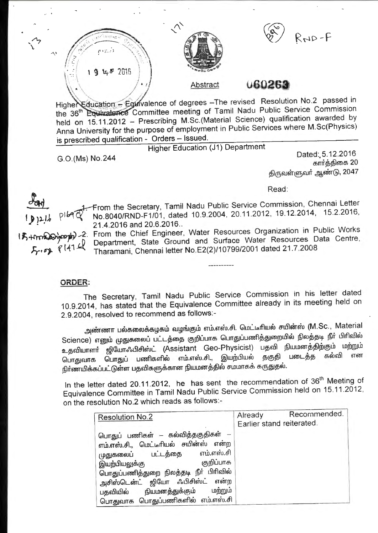



 $R_{N}P-F$ 

Abstract **060263** 

Highe Education - Equivalence of degrees -The revised Resolution No.2 passed in the 36<sup>th</sup> Equivalence Committee meeting of Tamil Nadu Public Service Commission held on 15.11.2012 - Prescribing M.Sc.(Material Science) qualification awarded by Anna University for the purpose of employment in Public Services where M.Sc(Physics) is prescribed qualification - Orders - Issued.

Higher Education (J1) Department

G.O.(Ms) No.244 Dated: 5.12.2016 கார்த்திகை 20 திருவள்ளுவர் ஆண்டு, 2047

Read:



 $\mathcal{L}_{2}$ 

...

 $\sqrt{ }$ 

rom the Secretary, Tamil Nadu Public Service Commission, Chennai Letter No.8040/RND-F1/01, dated 10.9.2004, 20.11.2012, 19.12.2014, 15.2.2016, 21.4.2016 and 20.6.2016 ..

If the Chief Engineer, Water Resources Organization in Public Works ~ Department, State Ground and Surface Water Resources Data Centre,  $5.68$   $6^{141}$  Tharamani, Chennai letter No.E2(2)/10799/2001 dated 21.7.2008

## **ORDER:**

The Secretary, Tamil Nadu Public Service Commission in his letter dated 10.9.2014, has stated that the Equivalence Committee already in its meeting held on 2.9.2004, resolved to recommend as follows:-

அண்ணா பல்கலைக்கழகம் வழங்கும் எம்.எஸ்.சி. மெட்டீரியல் சயின்ஸ் (M.Sc., Material Science) எனும் முதுகலைப் பட்டத்தை குறிப்பாக பொதுப்பணித்துறையில் நிலத்தடி நீா் பிாிவில் உதவியாளா் ஜியோஃபிசிஸ்ட் (Assistant Geo-Physicist) பதவி நியமனத்திற்கும் மற்றும்<br>பொரமார பொதுப் பணிதளில் எம்.எஸ்.சி., இயற்பியல் ககுதி படைத்த கல்வி என Qurr@rurrffi Qurr~u umrl1B>61ft6U 6TLD.6T6iu.6l., @w!DL51w6U ~®ef>l umL~~ B>rurul 6Trn நிர்ணயிக்கப்பட்டுள்ள பதவிகளுக்கான நியமனத்தில் சமமாகக் கருதுதல்.

In the letter dated 20.11.2012, he has sent the recommendation of 36<sup>th</sup> Meeting of Equivalence Committee in Tamil Nadu Public Service Commission held on 15.11.2012, on the resolution No.2 which reads as follows:-

| <b>Resolution No.2</b>                                                                                                                                                                                                                                                                                | Recommended.<br>Already<br>Earlier stand reiterated. |
|-------------------------------------------------------------------------------------------------------------------------------------------------------------------------------------------------------------------------------------------------------------------------------------------------------|------------------------------------------------------|
| பொதுப் பணிகள் – கல்வித்தகுதிகள் –<br>எம்.எஸ்.சி., மெட்டீரியல் சயின்ஸ் என்ற<br>எம்.எஸ்.சி<br>முதுகலைப் பட்டத்தை<br>குறிப்பாக<br>இயற்பியலுக்கு<br>பொதுப்பணித்துறை நிலத்தடி நீா் பிாிவில்<br>அசிஸ்டென்ட் ஜியோ ஃபிசிஸ்ட் என்ற<br>மற்றும்<br>பதவியில் நியமனத்துக்கும்<br>பொதுவாக பொதுப்பணிகளில் எம்.எஸ்.சி |                                                      |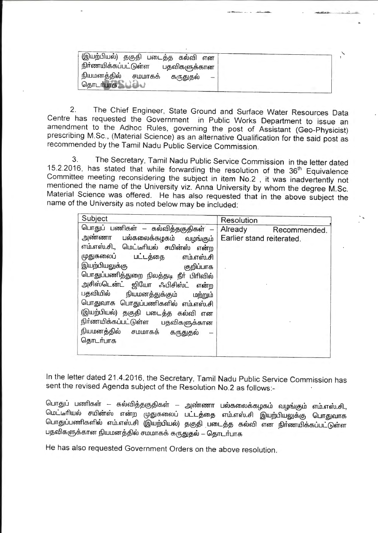| (இயற்பியல்) தகுதி படைத்த கல்வி என |              |   |
|-----------------------------------|--------------|---|
| , நிர்ணயிக்கப்பட்டுள்ள            | பதவிகளுக்கான |   |
| நியமனத்தில் சமமாகக்               | கருதுதல்     | - |
| தொடர்பாக                          |              |   |

2. The Chief Engineer, State Ground and Surface Water Resources Data Centre has requested the Government in Public Works Department to issue an amendment to the Adhoc Rules, governing the post of Assistant (Geo-Physicist) prescribing M.Sc., (Material Science) as an alternative Qualification for the said post as recommended by the Tamil Nadu Public Service Commission.

3. The Secretary, Tamil Nadu Public Service Commission in the letter dated 15.2.2016, has stated that while forwarding the resolution of the 36<sup>th</sup> Equivalence Committee meeting reconsidering the subject in item No.2 , it was inadvertently not mentioned the name of the University viz. Anna University by whom the degree M.Sc. Material Science was offered. He has also requested that in the above subject the name of the University as noted below may be included:

| Subject                                                                                                                                                                                                                                                                  | Resolution                                           |
|--------------------------------------------------------------------------------------------------------------------------------------------------------------------------------------------------------------------------------------------------------------------------|------------------------------------------------------|
| பொதுப் பணிகள் – கல்வித்தகுதிகள் –<br>அண்ணா பல்கலைக்கழகம் வழங்கும்<br>எம்.எஸ்.சி., மெட்டீரியல் சயின்ஸ் என்ற<br>முதுகலைப் பட்டத்தை<br>எம்.எஸ்.சி<br>இயற்பியலுக்கு<br>குறிப்பாக                                                                                             | Already<br>Recommended.<br>Earlier stand reiterated. |
| பொதுப்பணித்துறை நிலத்தடி நீா் பிரிவில்<br>அசிஸ்டென்ட் ஜியோ ஃபிசிஸ்ட் என்ற<br>பதவியில் நியமனத்துக்கும் மற்றும்<br>பொதுவாக பொதுப்பணிகளில் எம்.எஸ்.சி<br>(இயற்பியல்) தகுதி படைத்த கல்வி என<br>நிர்ணயிக்கப்பட்டுள்ள பதவிகளுக்கான<br>நியமனத்தில் சமமாகக் கருதுதல்<br>தொடர்பாக |                                                      |

In the letter dated 21.4.2016, the Secretary, Tamil Nadu Public Service Commission has sent the revised Agenda subject of the Resolution No.2 as follows:-

பொதுப் பணிகள் — கல்வித்தகுதிகள் — அண்ணா பல்கலைக்கழகம் வழங்கும் எம்.எஸ்.சி., மெட்டீரியல் சயின்ஸ் என்ற முதுகலைப் பட்டத்தை எம்.எஸ்.சி இயற்பியலுக்கு பொதுவாக பொதுப்பணிகளில் எம்.எஸ்.சி (இயற்பியல்) தகுதி படைத்த கல்வி என நிர்ணயிக்கப்பட்டுள்ள பதவிகளுக்கான நியமனத்தில் சமமாகக் கருதுதல் – தொடர்பாக

He has also requested Government Orders on the above resolution.